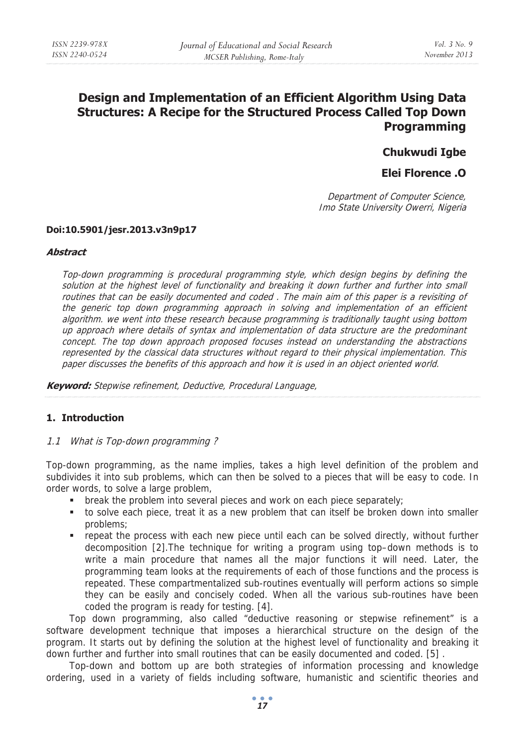# **Design and Implementation of an Efficient Algorithm Using Data Structures: A Recipe for the Structured Process Called Top Down Programming**

## **Chukwudi Igbe**

## **Elei Florence .O**

Department of Computer Science, Imo State University Owerri, Nigeria

#### **Doi:10.5901/jesr.2013.v3n9p17**

#### **Abstract**

Top-down programming is procedural programming style, which design begins by defining the solution at the highest level of functionality and breaking it down further and further into small routines that can be easily documented and coded . The main aim of this paper is a revisiting of the generic top down programming approach in solving and implementation of an efficient algorithm. we went into these research because programming is traditionally taught using bottom up approach where details of syntax and implementation of data structure are the predominant concept. The top down approach proposed focuses instead on understanding the abstractions represented by the classical data structures without regard to their physical implementation. This paper discusses the benefits of this approach and how it is used in an object oriented world.

**Keyword:** Stepwise refinement, Deductive, Procedural Language,

## **1. Introduction**

## 1.1 What is Top-down programming ?

Top-down programming, as the name implies, takes a high level definition of the problem and subdivides it into sub problems, which can then be solved to a pieces that will be easy to code. In order words, to solve a large problem,

- break the problem into several pieces and work on each piece separately;
- to solve each piece, treat it as a new problem that can itself be broken down into smaller problems;
- repeat the process with each new piece until each can be solved directly, without further decomposition [2].The technique for writing a program using top–down methods is to write a main procedure that names all the major functions it will need. Later, the programming team looks at the requirements of each of those functions and the process is repeated. These compartmentalized sub-routines eventually will perform actions so simple they can be easily and concisely coded. When all the various sub-routines have been coded the program is ready for testing. [4].

Top down programming, also called "deductive reasoning or stepwise refinement" is a software development technique that imposes a hierarchical structure on the design of the program. It starts out by defining the solution at the highest level of functionality and breaking it down further and further into small routines that can be easily documented and coded. [5] .

Top-down and bottom up are both strategies of information processing and knowledge ordering, used in a variety of fields including software, humanistic and scientific theories and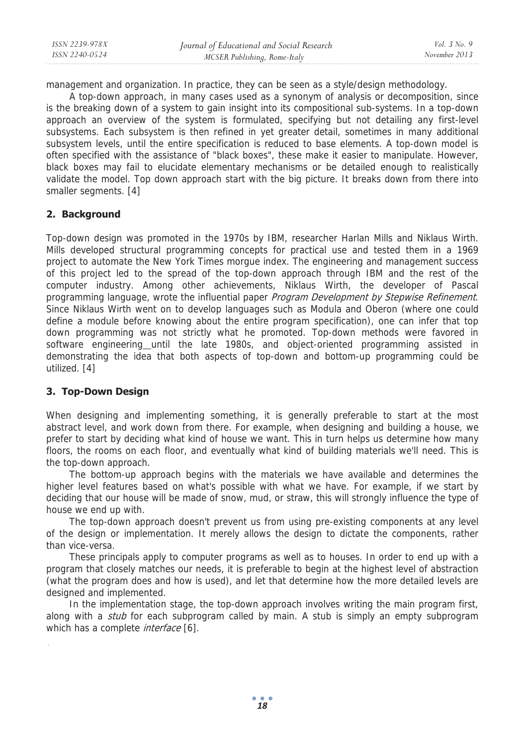management and organization. In practice, they can be seen as a style/design methodology.

A top-down approach, in many cases used as a synonym of analysis or decomposition, since is the breaking down of a system to gain insight into its compositional sub-systems. In a top-down approach an overview of the system is formulated, specifying but not detailing any first-level subsystems. Each subsystem is then refined in yet greater detail, sometimes in many additional subsystem levels, until the entire specification is reduced to base elements. A top-down model is often specified with the assistance of "black boxes", these make it easier to manipulate. However, black boxes may fail to elucidate elementary mechanisms or be detailed enough to realistically validate the model. Top down approach start with the big picture. It breaks down from there into smaller segments. [4]

## **2. Background**

Top-down design was promoted in the 1970s by IBM, researcher Harlan Mills and Niklaus Wirth. Mills developed structural programming concepts for practical use and tested them in a 1969 project to automate the New York Times morgue index. The engineering and management success of this project led to the spread of the top-down approach through IBM and the rest of the computer industry. Among other achievements, Niklaus Wirth, the developer of Pascal programming language, wrote the influential paper Program Development by Stepwise Refinement. Since Niklaus Wirth went on to develop languages such as Modula and Oberon (where one could define a module before knowing about the entire program specification), one can infer that top down programming was not strictly what he promoted. Top-down methods were favored in software engineering until the late 1980s, and object-oriented programming assisted in demonstrating the idea that both aspects of top-down and bottom-up programming could be utilized. [4]

## **3. Top-Down Design**

When designing and implementing something, it is generally preferable to start at the most abstract level, and work down from there. For example, when designing and building a house, we prefer to start by deciding what kind of house we want. This in turn helps us determine how many floors, the rooms on each floor, and eventually what kind of building materials we'll need. This is the top-down approach.

The bottom-up approach begins with the materials we have available and determines the higher level features based on what's possible with what we have. For example, if we start by deciding that our house will be made of snow, mud, or straw, this will strongly influence the type of house we end up with.

The top-down approach doesn't prevent us from using pre-existing components at any level of the design or implementation. It merely allows the design to dictate the components, rather than vice-versa.

These principals apply to computer programs as well as to houses. In order to end up with a program that closely matches our needs, it is preferable to begin at the highest level of abstraction (what the program does and how is used), and let that determine how the more detailed levels are designed and implemented.

In the implementation stage, the top-down approach involves writing the main program first, along with a *stub* for each subprogram called by main. A stub is simply an empty subprogram which has a complete *interface* [6].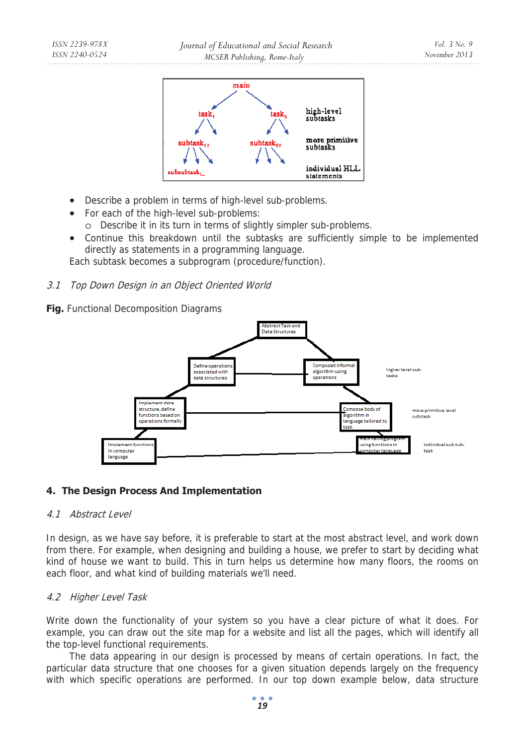

- Describe a problem in terms of high-level sub-problems.
- For each of the high-level sub-problems: o Describe it in its turn in terms of slightly simpler sub-problems.
- Continue this breakdown until the subtasks are sufficiently simple to be implemented directly as statements in a programming language.

Each subtask becomes a subprogram (procedure/function).

## 3.1 Top Down Design in an Object Oriented World

## **Fig.** Functional Decomposition Diagrams



## **4. The Design Process And Implementation**

#### 4.1 Abstract Level

In design, as we have say before, it is preferable to start at the most abstract level, and work down from there. For example, when designing and building a house, we prefer to start by deciding what kind of house we want to build. This in turn helps us determine how many floors, the rooms on each floor, and what kind of building materials we'll need.

## 4.2 Higher Level Task

Write down the functionality of your system so you have a clear picture of what it does. For example, you can draw out the site map for a website and list all the pages, which will identify all the top-level functional requirements.

The data appearing in our design is processed by means of certain operations. In fact, the particular data structure that one chooses for a given situation depends largely on the frequency with which specific operations are performed. In our top down example below, data structure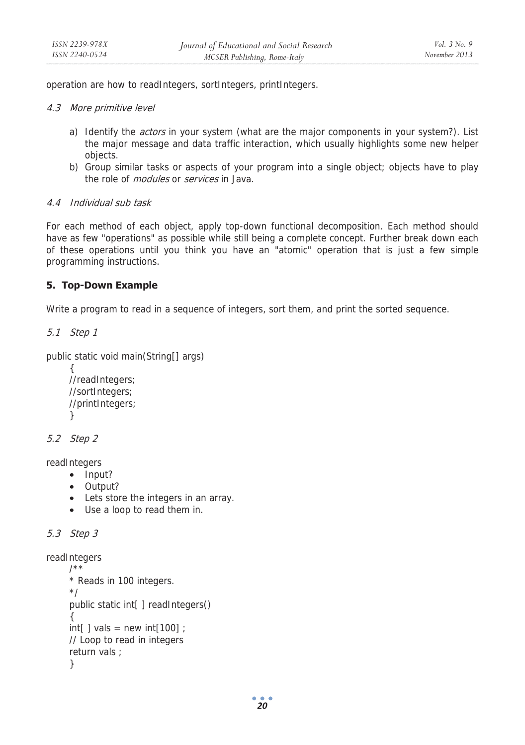operation are how to readIntegers, sortIntegers, printIntegers.

### 4.3 More primitive level

- a) Identify the *actors* in your system (what are the major components in your system?). List the major message and data traffic interaction, which usually highlights some new helper objects.
- b) Group similar tasks or aspects of your program into a single object; objects have to play the role of *modules* or *services* in Java.

## 4.4 Individual sub task

For each method of each object, apply top-down functional decomposition. Each method should have as few "operations" as possible while still being a complete concept. Further break down each of these operations until you think you have an "atomic" operation that is just a few simple programming instructions.

## **5. Top-Down Example**

Write a program to read in a sequence of integers, sort them, and print the sorted sequence.

```
5.1 Step 1
```

```
public static void main(String[] args)
```

```
{ 
//readIntegers; 
//sortIntegers; 
//printIntegers; 
}
```

```
5.2 Step 2
```
readIntegers

- Input?
- Output?
- Lets store the integers in an array.
- Use a loop to read them in.

```
5.3 Step 3
```

```
readIntegers
```

```
/** 
* Reads in 100 integers. 
*/ 
public static int[ ] readIntegers() 
{ 
int[] vals = new int[100];
// Loop to read in integers 
return vals ; 
}
```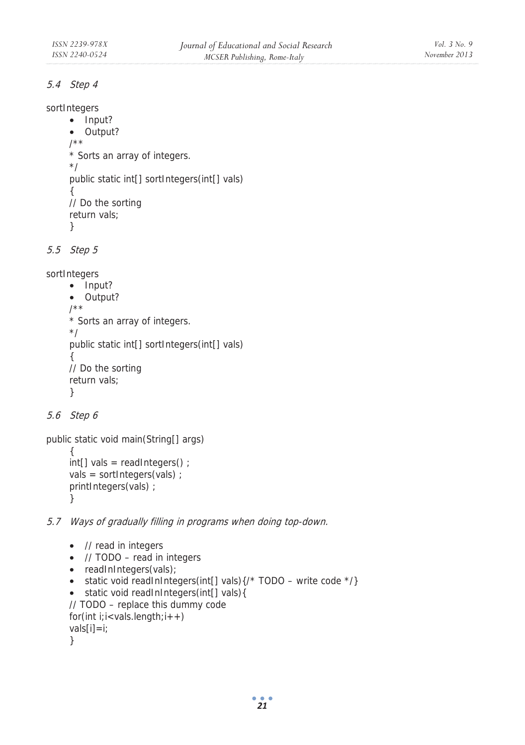## 5.4 Step 4

```
sortIntegers
```

```
• Input? 
• Output? 
/** 
* Sorts an array of integers. 
*/ 
public static int[] sortIntegers(int[] vals) 
{ 
// Do the sorting 
return vals; 
}
```

```
5.5 Step 5
```
sortIntegers

```
• Input? 
• Output? 
/** 
* Sorts an array of integers. 
*/ 
public static int[] sortIntegers(int[] vals) 
{ 
// Do the sorting 
return vals; 
}
```

```
5.6 Step 6
```
vals[i]=i; }

```
public static void main(String[] args) 
      { 
     int[] vals = readIntegers() ; 
     vals = sortIntegers(vals) ; 
     printIntegers(vals) ; 
      }
```
5.7 Ways of gradually filling in programs when doing top-down.

```
• // read in integers 
• // TODO – read in integers 
• readInIntegers(vals);
• static void readInIntegers(int[] vals)\{/* TODO – write code */\}• static void readInIntegers(int[] vals){ 
// TODO – replace this dummy code 
for(int i;i<vals.length;i++)
```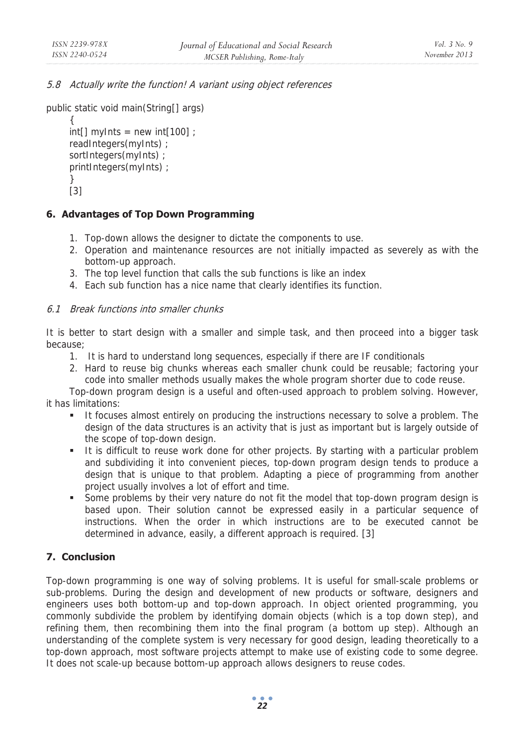5.8 Actually write the function! A variant using object references

```
public static void main(String[] args)
```

```
{ 
int[] myInts = new int[100];
readIntegers(myInts) ; 
sortIntegers(myInts) ; 
printIntegers(myInts) ; 
} 
[3]
```
## **6. Advantages of Top Down Programming**

- 1. Top-down allows the designer to dictate the components to use.
- 2. Operation and maintenance resources are not initially impacted as severely as with the bottom-up approach.
- 3. The top level function that calls the sub functions is like an index
- 4. Each sub function has a nice name that clearly identifies its function.

## 6.1 Break functions into smaller chunks

It is better to start design with a smaller and simple task, and then proceed into a bigger task because;

- 1. It is hard to understand long sequences, especially if there are IF conditionals
- 2. Hard to reuse big chunks whereas each smaller chunk could be reusable; factoring your code into smaller methods usually makes the whole program shorter due to code reuse.

Top-down program design is a useful and often-used approach to problem solving. However, it has limitations:

- It focuses almost entirely on producing the instructions necessary to solve a problem. The design of the data structures is an activity that is just as important but is largely outside of the scope of top-down design.
- It is difficult to reuse work done for other projects. By starting with a particular problem and subdividing it into convenient pieces, top-down program design tends to produce a design that is unique to that problem. Adapting a piece of programming from another project usually involves a lot of effort and time.
- Some problems by their very nature do not fit the model that top-down program design is based upon. Their solution cannot be expressed easily in a particular sequence of instructions. When the order in which instructions are to be executed cannot be determined in advance, easily, a different approach is required. [3]

## **7. Conclusion**

Top-down programming is one way of solving problems. It is useful for small-scale problems or sub-problems. During the design and development of new products or software, designers and engineers uses both bottom-up and top-down approach. In object oriented programming, you commonly subdivide the problem by identifying domain objects (which is a top down step), and refining them, then recombining them into the final program (a bottom up step). Although an understanding of the complete system is very necessary for good design, leading theoretically to a top-down approach, most software projects attempt to make use of existing code to some degree. It does not scale-up because bottom-up approach allows designers to reuse codes.